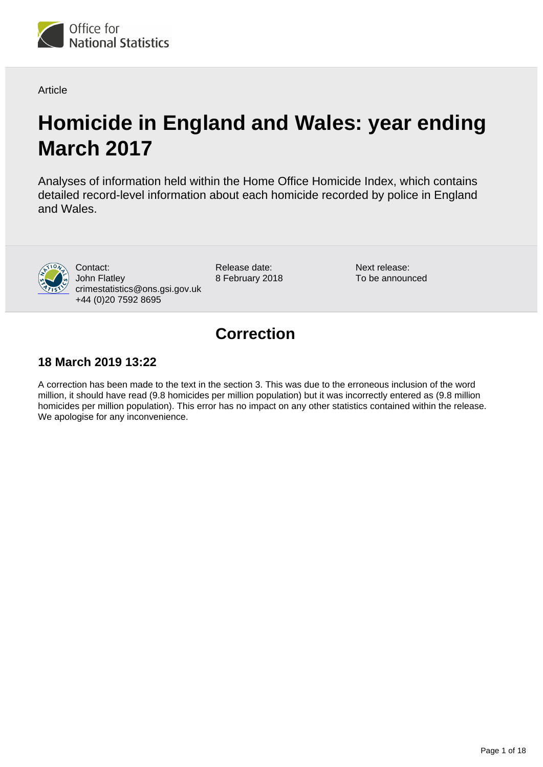

**Article** 

# **Homicide in England and Wales: year ending March 2017**

Analyses of information held within the Home Office Homicide Index, which contains detailed record-level information about each homicide recorded by police in England and Wales.



Contact: John Flatley crimestatistics@ons.gsi.gov.uk +44 (0)20 7592 8695

Release date: 8 February 2018 Next release: To be announced

## **Correction**

## **18 March 2019 13:22**

A correction has been made to the text in the section 3. This was due to the erroneous inclusion of the word million, it should have read (9.8 homicides per million population) but it was incorrectly entered as (9.8 million homicides per million population). This error has no impact on any other statistics contained within the release. We apologise for any inconvenience.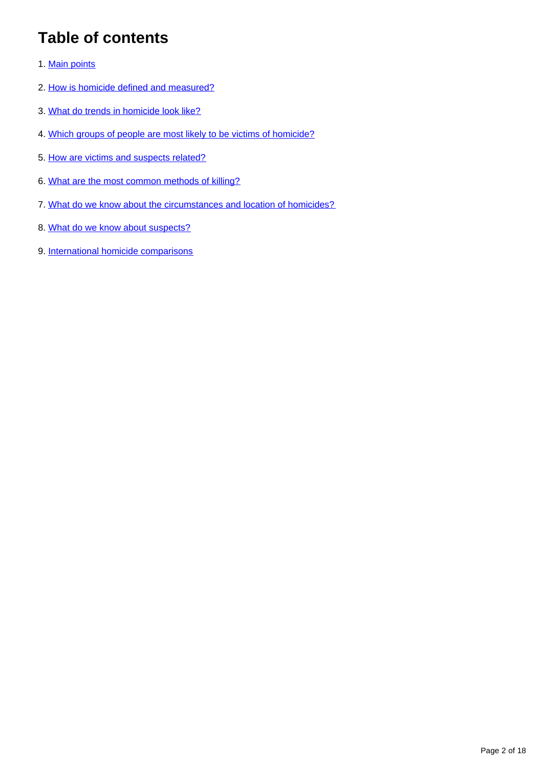## **Table of contents**

- 1. [Main points](#page-2-0)
- 2. [How is homicide defined and measured?](#page-2-1)
- 3. [What do trends in homicide look like?](#page-4-0)
- 4. [Which groups of people are most likely to be victims of homicide?](#page-6-0)
- 5. [How are victims and suspects related?](#page-8-0)
- 6. [What are the most common methods of killing?](#page-11-0)
- 7. [What do we know about the circumstances and location of homicides?](#page-12-0)
- 8. [What do we know about suspects?](#page-15-0)
- 9. [International homicide comparisons](#page-17-0)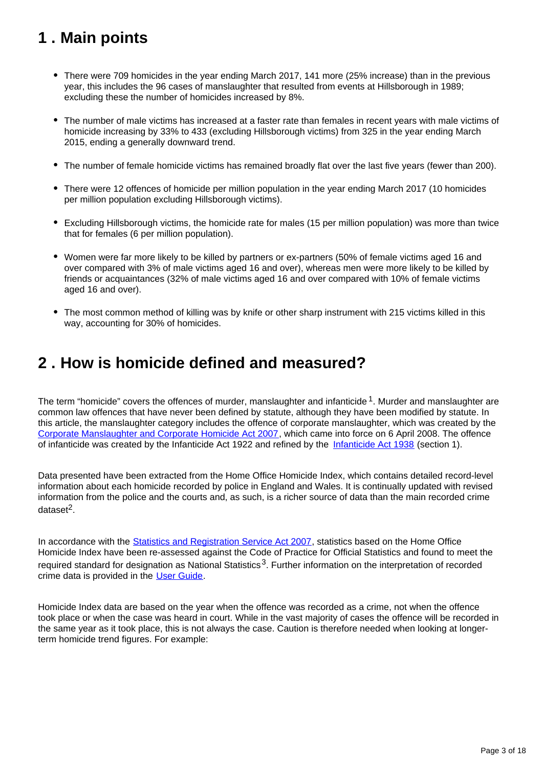## <span id="page-2-0"></span>**1 . Main points**

- There were 709 homicides in the year ending March 2017, 141 more (25% increase) than in the previous year, this includes the 96 cases of manslaughter that resulted from events at Hillsborough in 1989; excluding these the number of homicides increased by 8%.
- The number of male victims has increased at a faster rate than females in recent years with male victims of homicide increasing by 33% to 433 (excluding Hillsborough victims) from 325 in the year ending March 2015, ending a generally downward trend.
- The number of female homicide victims has remained broadly flat over the last five years (fewer than 200).
- There were 12 offences of homicide per million population in the year ending March 2017 (10 homicides per million population excluding Hillsborough victims).
- Excluding Hillsborough victims, the homicide rate for males (15 per million population) was more than twice that for females (6 per million population).
- Women were far more likely to be killed by partners or ex-partners (50% of female victims aged 16 and over compared with 3% of male victims aged 16 and over), whereas men were more likely to be killed by friends or acquaintances (32% of male victims aged 16 and over compared with 10% of female victims aged 16 and over).
- The most common method of killing was by knife or other sharp instrument with 215 victims killed in this way, accounting for 30% of homicides.

## <span id="page-2-1"></span>**2 . How is homicide defined and measured?**

The term "homicide" covers the offences of murder, manslaughter and infanticide  $1$ . Murder and manslaughter are common law offences that have never been defined by statute, although they have been modified by statute. In this article, the manslaughter category includes the offence of corporate manslaughter, which was created by the [Corporate Manslaughter and Corporate Homicide Act 2007](http://www.legislation.gov.uk/ukpga/2007/19/contents), which came into force on 6 April 2008. The offence of infanticide was created by the Infanticide Act 1922 and refined by the [Infanticide Act 1938](http://www.legislation.gov.uk/ukpga/Geo6/1-2/36) (section 1).

Data presented have been extracted from the Home Office Homicide Index, which contains detailed record-level information about each homicide recorded by police in England and Wales. It is continually updated with revised information from the police and the courts and, as such, is a richer source of data than the main recorded crime dataset<sup>2</sup>.

In accordance with the [Statistics and Registration Service Act 2007](http://www.legislation.gov.uk/ukpga/2007/18/contents), statistics based on the Home Office Homicide Index have been re-assessed against the Code of Practice for Official Statistics and found to meet the required standard for designation as National Statistics<sup>3</sup>. Further information on the interpretation of recorded crime data is provided in the [User Guide.](https://www.ons.gov.uk/peoplepopulationandcommunity/crimeandjustice/methodologies/crimeandjusticemethodology)

Homicide Index data are based on the year when the offence was recorded as a crime, not when the offence took place or when the case was heard in court. While in the vast majority of cases the offence will be recorded in the same year as it took place, this is not always the case. Caution is therefore needed when looking at longerterm homicide trend figures. For example: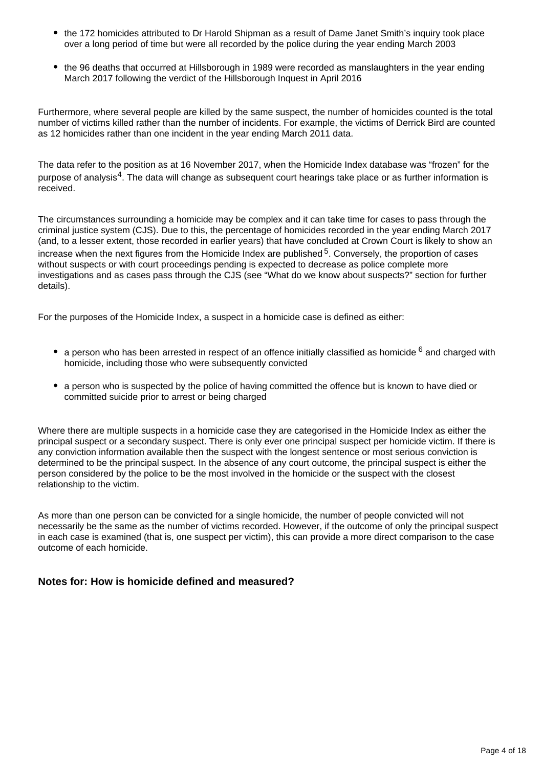- the 172 homicides attributed to Dr Harold Shipman as a result of Dame Janet Smith's inquiry took place over a long period of time but were all recorded by the police during the year ending March 2003
- the 96 deaths that occurred at Hillsborough in 1989 were recorded as manslaughters in the year ending March 2017 following the verdict of the Hillsborough Inquest in April 2016

Furthermore, where several people are killed by the same suspect, the number of homicides counted is the total number of victims killed rather than the number of incidents. For example, the victims of Derrick Bird are counted as 12 homicides rather than one incident in the year ending March 2011 data.

The data refer to the position as at 16 November 2017, when the Homicide Index database was "frozen" for the purpose of analysis<sup>4</sup>. The data will change as subsequent court hearings take place or as further information is received.

The circumstances surrounding a homicide may be complex and it can take time for cases to pass through the criminal justice system (CJS). Due to this, the percentage of homicides recorded in the year ending March 2017 (and, to a lesser extent, those recorded in earlier years) that have concluded at Crown Court is likely to show an increase when the next figures from the Homicide Index are published  $5$ . Conversely, the proportion of cases without suspects or with court proceedings pending is expected to decrease as police complete more investigations and as cases pass through the CJS (see "What do we know about suspects?" section for further details).

For the purposes of the Homicide Index, a suspect in a homicide case is defined as either:

- a person who has been arrested in respect of an offence initially classified as homicide  $6$  and charged with homicide, including those who were subsequently convicted
- a person who is suspected by the police of having committed the offence but is known to have died or committed suicide prior to arrest or being charged

Where there are multiple suspects in a homicide case they are categorised in the Homicide Index as either the principal suspect or a secondary suspect. There is only ever one principal suspect per homicide victim. If there is any conviction information available then the suspect with the longest sentence or most serious conviction is determined to be the principal suspect. In the absence of any court outcome, the principal suspect is either the person considered by the police to be the most involved in the homicide or the suspect with the closest relationship to the victim.

As more than one person can be convicted for a single homicide, the number of people convicted will not necessarily be the same as the number of victims recorded. However, if the outcome of only the principal suspect in each case is examined (that is, one suspect per victim), this can provide a more direct comparison to the case outcome of each homicide.

## **Notes for: How is homicide defined and measured?**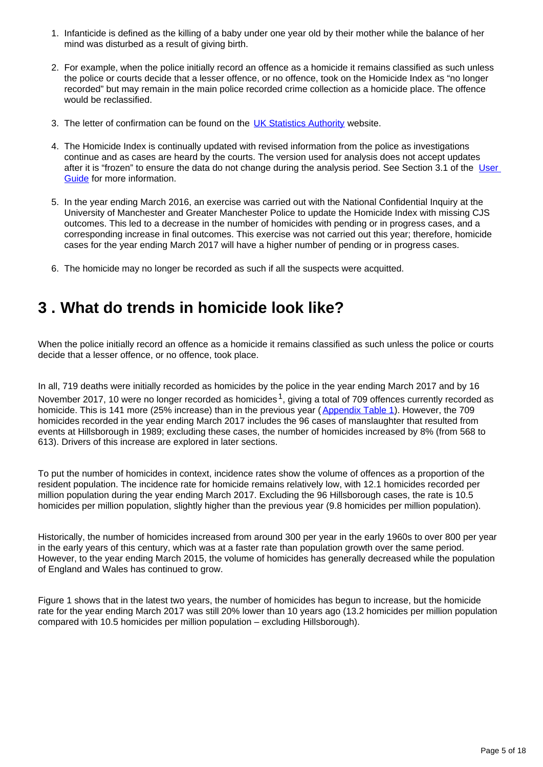- 1. Infanticide is defined as the killing of a baby under one year old by their mother while the balance of her mind was disturbed as a result of giving birth.
- 2. For example, when the police initially record an offence as a homicide it remains classified as such unless the police or courts decide that a lesser offence, or no offence, took on the Homicide Index as "no longer recorded" but may remain in the main police recorded crime collection as a homicide place. The offence would be reclassified.
- 3. The letter of confirmation can be found on the **[UK Statistics Authority](https://www.statisticsauthority.gov.uk/publication/statistics-on-crime-in-england-and-wales-2/)** website.
- 4. The Homicide Index is continually updated with revised information from the police as investigations continue and as cases are heard by the courts. The version used for analysis does not accept updates after it is "frozen" to ensure the data do not change during the analysis period. See Section 3.1 of the User [Guide](https://www.ons.gov.uk/peoplepopulationandcommunity/crimeandjustice/methodologies/crimeandjusticemethodology) for more information.
- 5. In the year ending March 2016, an exercise was carried out with the National Confidential Inquiry at the University of Manchester and Greater Manchester Police to update the Homicide Index with missing CJS outcomes. This led to a decrease in the number of homicides with pending or in progress cases, and a corresponding increase in final outcomes. This exercise was not carried out this year; therefore, homicide cases for the year ending March 2017 will have a higher number of pending or in progress cases.
- 6. The homicide may no longer be recorded as such if all the suspects were acquitted.

## <span id="page-4-0"></span>**3 . What do trends in homicide look like?**

When the police initially record an offence as a homicide it remains classified as such unless the police or courts decide that a lesser offence, or no offence, took place.

In all, 719 deaths were initially recorded as homicides by the police in the year ending March 2017 and by 16 November 2017, 10 were no longer recorded as homicides  $1$ , giving a total of 709 offences currently recorded as homicide. This is 141 more (25% increase) than in the previous year ([Appendix Table 1](https://www.ons.gov.uk/peoplepopulationandcommunity/crimeandjustice/datasets/appendixtableshomicideinenglandandwales)). However, the 709 homicides recorded in the year ending March 2017 includes the 96 cases of manslaughter that resulted from events at Hillsborough in 1989; excluding these cases, the number of homicides increased by 8% (from 568 to 613). Drivers of this increase are explored in later sections.

To put the number of homicides in context, incidence rates show the volume of offences as a proportion of the resident population. The incidence rate for homicide remains relatively low, with 12.1 homicides recorded per million population during the year ending March 2017. Excluding the 96 Hillsborough cases, the rate is 10.5 homicides per million population, slightly higher than the previous year (9.8 homicides per million population).

Historically, the number of homicides increased from around 300 per year in the early 1960s to over 800 per year in the early years of this century, which was at a faster rate than population growth over the same period. However, to the year ending March 2015, the volume of homicides has generally decreased while the population of England and Wales has continued to grow.

Figure 1 shows that in the latest two years, the number of homicides has begun to increase, but the homicide rate for the year ending March 2017 was still 20% lower than 10 years ago (13.2 homicides per million population compared with 10.5 homicides per million population – excluding Hillsborough).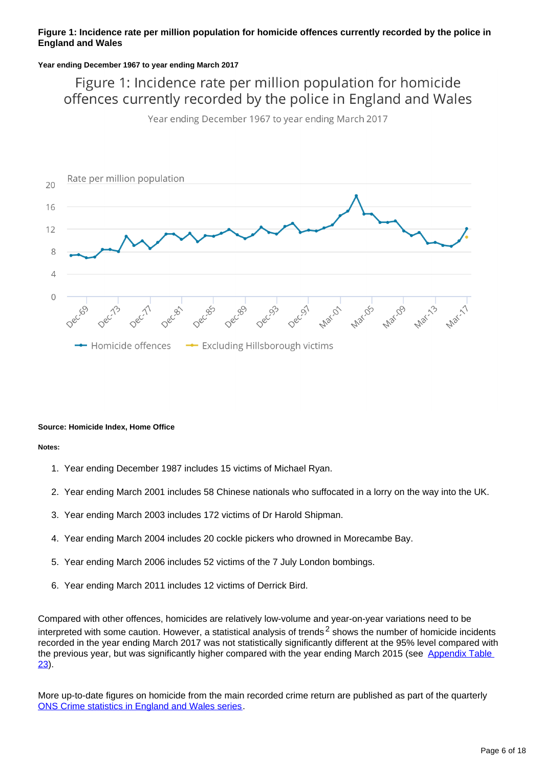### **Figure 1: Incidence rate per million population for homicide offences currently recorded by the police in England and Wales**

#### **Year ending December 1967 to year ending March 2017**

Figure 1: Incidence rate per million population for homicide offences currently recorded by the police in England and Wales

Year ending December 1967 to year ending March 2017



#### **Source: Homicide Index, Home Office**

**Notes:**

- 1. Year ending December 1987 includes 15 victims of Michael Ryan.
- 2. Year ending March 2001 includes 58 Chinese nationals who suffocated in a lorry on the way into the UK.
- 3. Year ending March 2003 includes 172 victims of Dr Harold Shipman.
- 4. Year ending March 2004 includes 20 cockle pickers who drowned in Morecambe Bay.
- 5. Year ending March 2006 includes 52 victims of the 7 July London bombings.
- 6. Year ending March 2011 includes 12 victims of Derrick Bird.

Compared with other offences, homicides are relatively low-volume and year-on-year variations need to be interpreted with some caution. However, a statistical analysis of trends<sup>2</sup> shows the number of homicide incidents recorded in the year ending March 2017 was not statistically significantly different at the 95% level compared with the previous year, but was significantly higher compared with the year ending March 2015 (see Appendix Table [23](https://www.ons.gov.uk/peoplepopulationandcommunity/crimeandjustice/datasets/appendixtableshomicideinenglandandwales)).

More up-to-date figures on homicide from the main recorded crime return are published as part of the quarterly [ONS Crime statistics in England and Wales series](https://www.ons.gov.uk/peoplepopulationandcommunity/crimeandjustice).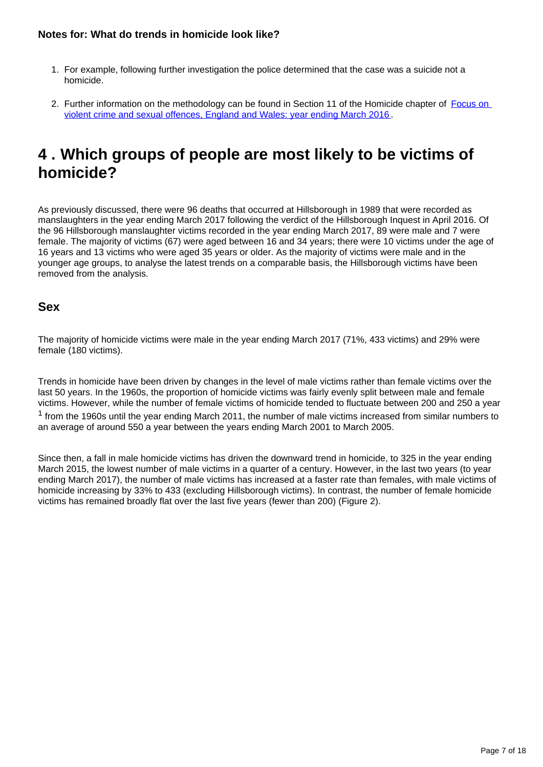## **Notes for: What do trends in homicide look like?**

- 1. For example, following further investigation the police determined that the case was a suicide not a homicide.
- 2. Further information on the methodology can be found in Section 11 of the Homicide chapter of Focus on [violent crime and sexual offences, England and Wales: year ending March 2016](https://www.ons.gov.uk/peoplepopulationandcommunity/crimeandjustice/compendium/focusonviolentcrimeandsexualoffences/yearendingmarch2016/homicide) .

## <span id="page-6-0"></span>**4 . Which groups of people are most likely to be victims of homicide?**

As previously discussed, there were 96 deaths that occurred at Hillsborough in 1989 that were recorded as manslaughters in the year ending March 2017 following the verdict of the Hillsborough Inquest in April 2016. Of the 96 Hillsborough manslaughter victims recorded in the year ending March 2017, 89 were male and 7 were female. The majority of victims (67) were aged between 16 and 34 years; there were 10 victims under the age of 16 years and 13 victims who were aged 35 years or older. As the majority of victims were male and in the younger age groups, to analyse the latest trends on a comparable basis, the Hillsborough victims have been removed from the analysis.

## **Sex**

The majority of homicide victims were male in the year ending March 2017 (71%, 433 victims) and 29% were female (180 victims).

Trends in homicide have been driven by changes in the level of male victims rather than female victims over the last 50 years. In the 1960s, the proportion of homicide victims was fairly evenly split between male and female victims. However, while the number of female victims of homicide tended to fluctuate between 200 and 250 a year  $1$  from the 1960s until the year ending March 2011, the number of male victims increased from similar numbers to an average of around 550 a year between the years ending March 2001 to March 2005.

Since then, a fall in male homicide victims has driven the downward trend in homicide, to 325 in the year ending March 2015, the lowest number of male victims in a quarter of a century. However, in the last two years (to year ending March 2017), the number of male victims has increased at a faster rate than females, with male victims of homicide increasing by 33% to 433 (excluding Hillsborough victims). In contrast, the number of female homicide victims has remained broadly flat over the last five years (fewer than 200) (Figure 2).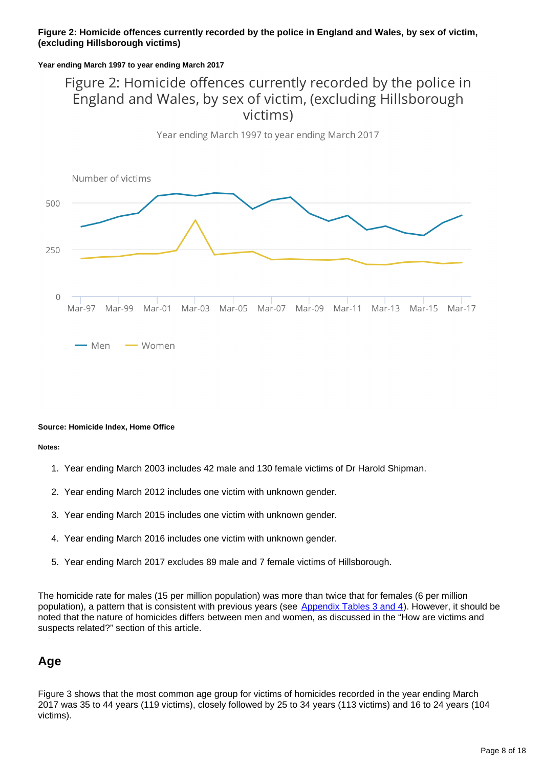### **Figure 2: Homicide offences currently recorded by the police in England and Wales, by sex of victim, (excluding Hillsborough victims)**

### **Year ending March 1997 to year ending March 2017**

## Figure 2: Homicide offences currently recorded by the police in England and Wales, by sex of victim, (excluding Hillsborough victims)



#### **Source: Homicide Index, Home Office**

**Notes:**

- 1. Year ending March 2003 includes 42 male and 130 female victims of Dr Harold Shipman.
- 2. Year ending March 2012 includes one victim with unknown gender.
- 3. Year ending March 2015 includes one victim with unknown gender.
- 4. Year ending March 2016 includes one victim with unknown gender.
- 5. Year ending March 2017 excludes 89 male and 7 female victims of Hillsborough.

The homicide rate for males (15 per million population) was more than twice that for females (6 per million population), a pattern that is consistent with previous years (see [Appendix Tables 3 and 4\)](https://www.ons.gov.uk/peoplepopulationandcommunity/crimeandjustice/datasets/appendixtableshomicideinenglandandwales). However, it should be noted that the nature of homicides differs between men and women, as discussed in the "How are victims and suspects related?" section of this article.

## **Age**

Figure 3 shows that the most common age group for victims of homicides recorded in the year ending March 2017 was 35 to 44 years (119 victims), closely followed by 25 to 34 years (113 victims) and 16 to 24 years (104 victims).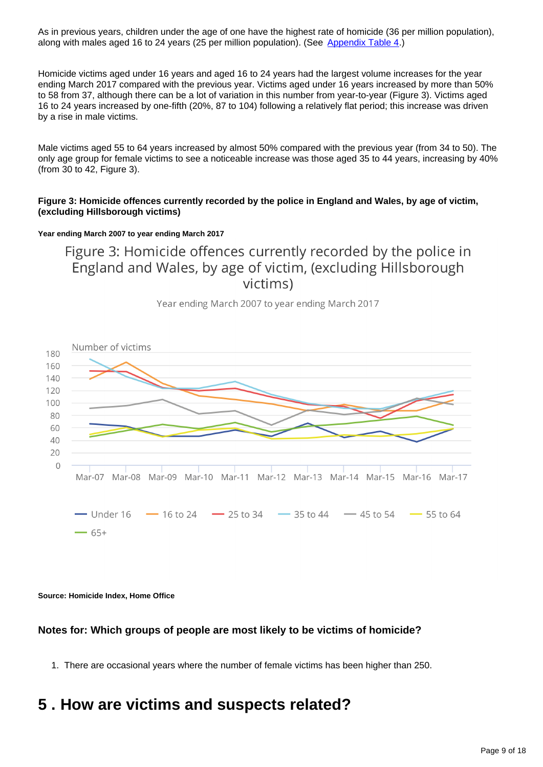As in previous years, children under the age of one have the highest rate of homicide (36 per million population), along with males aged 16 to 24 years (25 per million population). (See [Appendix Table 4.](https://www.ons.gov.uk/peoplepopulationandcommunity/crimeandjustice/datasets/appendixtableshomicideinenglandandwales))

Homicide victims aged under 16 years and aged 16 to 24 years had the largest volume increases for the year ending March 2017 compared with the previous year. Victims aged under 16 years increased by more than 50% to 58 from 37, although there can be a lot of variation in this number from year-to-year (Figure 3). Victims aged 16 to 24 years increased by one-fifth (20%, 87 to 104) following a relatively flat period; this increase was driven by a rise in male victims.

Male victims aged 55 to 64 years increased by almost 50% compared with the previous year (from 34 to 50). The only age group for female victims to see a noticeable increase was those aged 35 to 44 years, increasing by 40% (from 30 to 42, Figure 3).

### **Figure 3: Homicide offences currently recorded by the police in England and Wales, by age of victim, (excluding Hillsborough victims)**

### **Year ending March 2007 to year ending March 2017**

Figure 3: Homicide offences currently recorded by the police in England and Wales, by age of victim, (excluding Hillsborough victims)

Year ending March 2007 to year ending March 2017



**Source: Homicide Index, Home Office**

## **Notes for: Which groups of people are most likely to be victims of homicide?**

1. There are occasional years where the number of female victims has been higher than 250.

## <span id="page-8-0"></span>**5 . How are victims and suspects related?**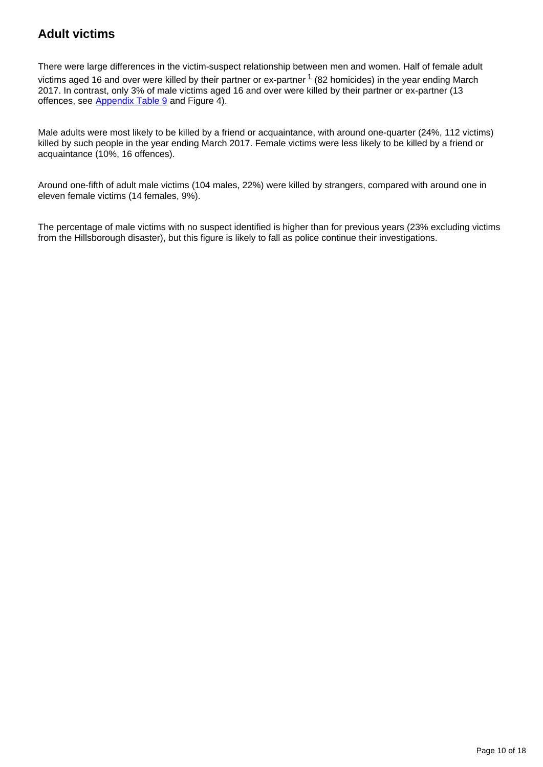## **Adult victims**

There were large differences in the victim-suspect relationship between men and women. Half of female adult victims aged 16 and over were killed by their partner or ex-partner  $1$  (82 homicides) in the year ending March 2017. In contrast, only 3% of male victims aged 16 and over were killed by their partner or ex-partner (13 offences, see [Appendix Table 9](https://www.ons.gov.uk/peoplepopulationandcommunity/crimeandjustice/datasets/appendixtableshomicideinenglandandwales) and Figure 4).

Male adults were most likely to be killed by a friend or acquaintance, with around one-quarter (24%, 112 victims) killed by such people in the year ending March 2017. Female victims were less likely to be killed by a friend or acquaintance (10%, 16 offences).

Around one-fifth of adult male victims (104 males, 22%) were killed by strangers, compared with around one in eleven female victims (14 females, 9%).

The percentage of male victims with no suspect identified is higher than for previous years (23% excluding victims from the Hillsborough disaster), but this figure is likely to fall as police continue their investigations.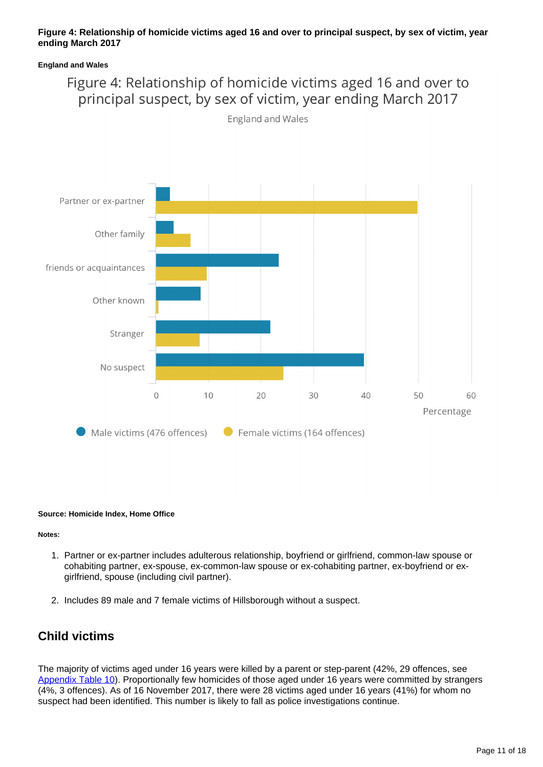### **Figure 4: Relationship of homicide victims aged 16 and over to principal suspect, by sex of victim, year ending March 2017**

### **England and Wales**

## Figure 4: Relationship of homicide victims aged 16 and over to principal suspect, by sex of victim, year ending March 2017



England and Wales

#### **Source: Homicide Index, Home Office**

#### **Notes:**

- 1. Partner or ex-partner includes adulterous relationship, boyfriend or girlfriend, common-law spouse or cohabiting partner, ex-spouse, ex-common-law spouse or ex-cohabiting partner, ex-boyfriend or exgirlfriend, spouse (including civil partner).
- 2. Includes 89 male and 7 female victims of Hillsborough without a suspect.

## **Child victims**

The majority of victims aged under 16 years were killed by a parent or step-parent (42%, 29 offences, see [Appendix Table 10](https://www.ons.gov.uk/peoplepopulationandcommunity/crimeandjustice/datasets/appendixtableshomicideinenglandandwales)). Proportionally few homicides of those aged under 16 years were committed by strangers (4%, 3 offences). As of 16 November 2017, there were 28 victims aged under 16 years (41%) for whom no suspect had been identified. This number is likely to fall as police investigations continue.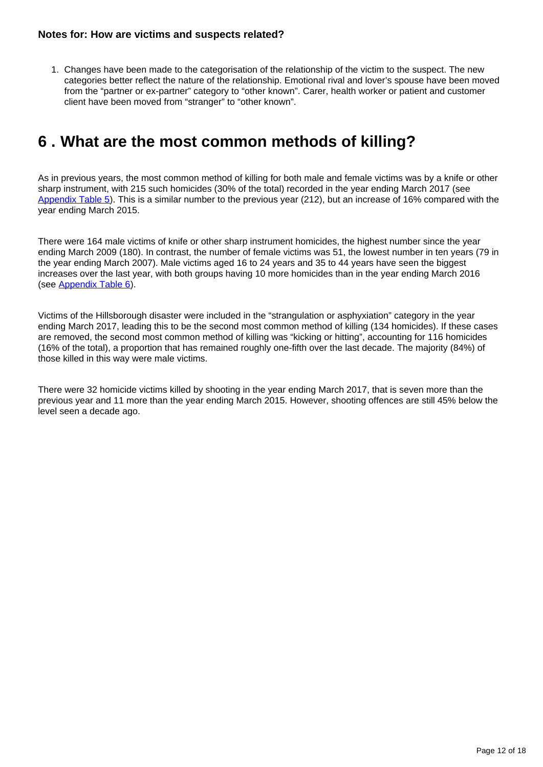1. Changes have been made to the categorisation of the relationship of the victim to the suspect. The new categories better reflect the nature of the relationship. Emotional rival and lover's spouse have been moved from the "partner or ex-partner" category to "other known". Carer, health worker or patient and customer client have been moved from "stranger" to "other known".

## <span id="page-11-0"></span>**6 . What are the most common methods of killing?**

As in previous years, the most common method of killing for both male and female victims was by a knife or other sharp instrument, with 215 such homicides (30% of the total) recorded in the year ending March 2017 (see [Appendix Table 5](https://www.ons.gov.uk/peoplepopulationandcommunity/crimeandjustice/datasets/appendixtableshomicideinenglandandwales)). This is a similar number to the previous year (212), but an increase of 16% compared with the year ending March 2015.

There were 164 male victims of knife or other sharp instrument homicides, the highest number since the year ending March 2009 (180). In contrast, the number of female victims was 51, the lowest number in ten years (79 in the year ending March 2007). Male victims aged 16 to 24 years and 35 to 44 years have seen the biggest increases over the last year, with both groups having 10 more homicides than in the year ending March 2016 (see [Appendix Table 6](https://www.ons.gov.uk/peoplepopulationandcommunity/crimeandjustice/datasets/appendixtableshomicideinenglandandwales)).

Victims of the Hillsborough disaster were included in the "strangulation or asphyxiation" category in the year ending March 2017, leading this to be the second most common method of killing (134 homicides). If these cases are removed, the second most common method of killing was "kicking or hitting", accounting for 116 homicides (16% of the total), a proportion that has remained roughly one-fifth over the last decade. The majority (84%) of those killed in this way were male victims.

There were 32 homicide victims killed by shooting in the year ending March 2017, that is seven more than the previous year and 11 more than the year ending March 2015. However, shooting offences are still 45% below the level seen a decade ago.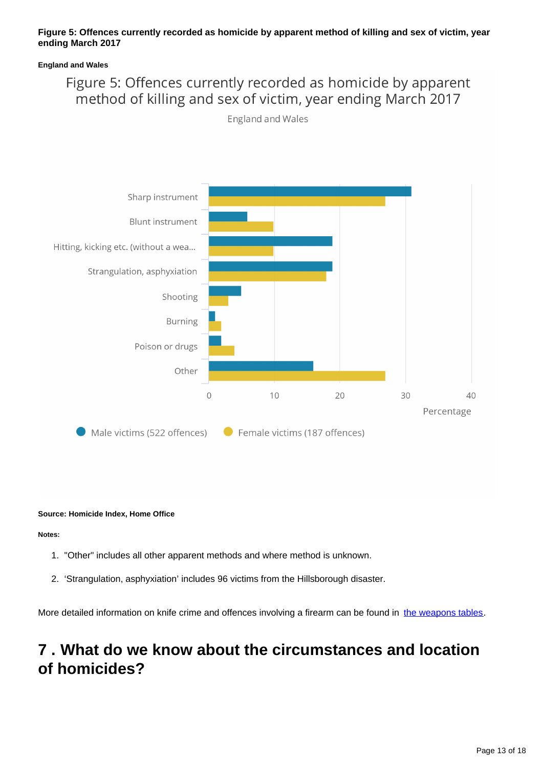### **Figure 5: Offences currently recorded as homicide by apparent method of killing and sex of victim, year ending March 2017**

### **England and Wales**

## Figure 5: Offences currently recorded as homicide by apparent method of killing and sex of victim, year ending March 2017

England and Wales



#### **Source: Homicide Index, Home Office**

**Notes:**

- 1. "Other" includes all other apparent methods and where method is unknown.
- 2. 'Strangulation, asphyxiation' includes 96 victims from the Hillsborough disaster.

More detailed information on knife crime and offences involving a firearm can be found in [the weapons tables](https://www.ons.gov.uk/peoplepopulationandcommunity/crimeandjustice/datasets/offencesinvolvingtheuseofweaponsdatatables).

## <span id="page-12-0"></span>**7 . What do we know about the circumstances and location of homicides?**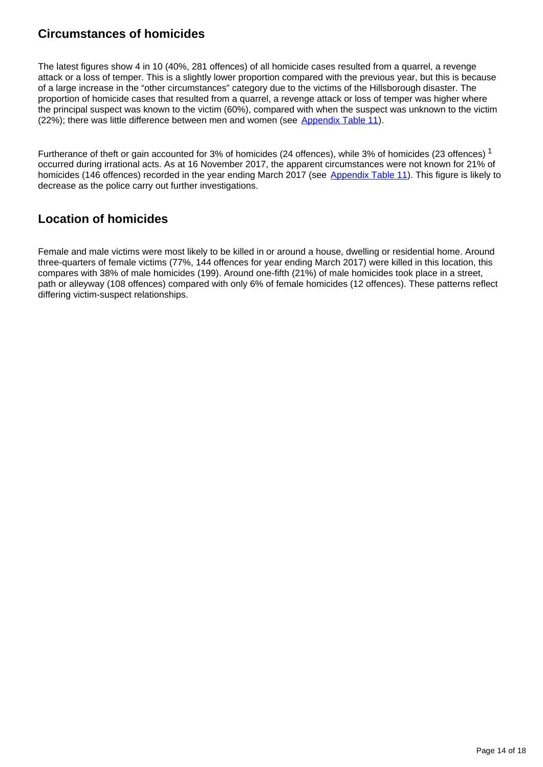## **Circumstances of homicides**

The latest figures show 4 in 10 (40%, 281 offences) of all homicide cases resulted from a quarrel, a revenge attack or a loss of temper. This is a slightly lower proportion compared with the previous year, but this is because of a large increase in the "other circumstances" category due to the victims of the Hillsborough disaster. The proportion of homicide cases that resulted from a quarrel, a revenge attack or loss of temper was higher where the principal suspect was known to the victim (60%), compared with when the suspect was unknown to the victim (22%); there was little difference between men and women (see [Appendix Table 11\)](https://www.ons.gov.uk/peoplepopulationandcommunity/crimeandjustice/datasets/appendixtableshomicideinenglandandwales).

Furtherance of theft or gain accounted for 3% of homicides (24 offences), while 3% of homicides (23 offences)<sup>1</sup> occurred during irrational acts. As at 16 November 2017, the apparent circumstances were not known for 21% of homicides (146 offences) recorded in the year ending March 2017 (see [Appendix Table 11\)](https://www.ons.gov.uk/peoplepopulationandcommunity/crimeandjustice/datasets/appendixtableshomicideinenglandandwales). This figure is likely to decrease as the police carry out further investigations.

## **Location of homicides**

Female and male victims were most likely to be killed in or around a house, dwelling or residential home. Around three-quarters of female victims (77%, 144 offences for year ending March 2017) were killed in this location, this compares with 38% of male homicides (199). Around one-fifth (21%) of male homicides took place in a street, path or alleyway (108 offences) compared with only 6% of female homicides (12 offences). These patterns reflect differing victim-suspect relationships.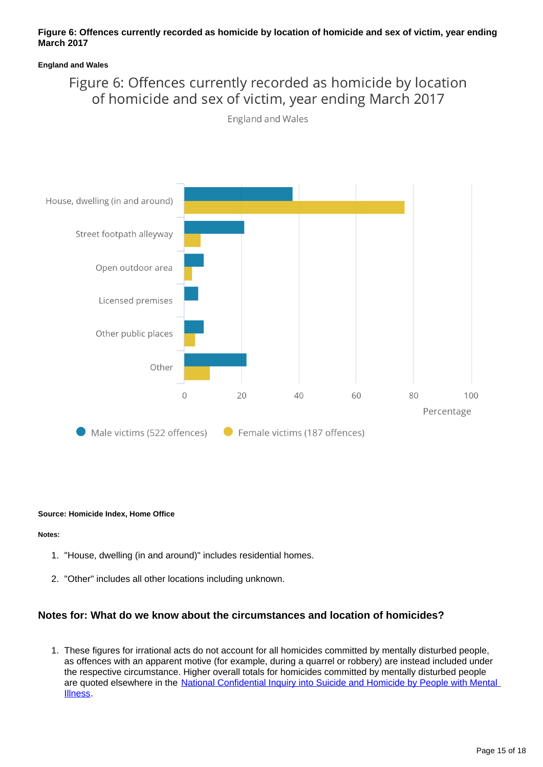### **Figure 6: Offences currently recorded as homicide by location of homicide and sex of victim, year ending March 2017**

### **England and Wales**

## Figure 6: Offences currently recorded as homicide by location of homicide and sex of victim, year ending March 2017

England and Wales



#### **Source: Homicide Index, Home Office**

#### **Notes:**

- 1. "House, dwelling (in and around)" includes residential homes.
- 2. "Other" includes all other locations including unknown.

### **Notes for: What do we know about the circumstances and location of homicides?**

1. These figures for irrational acts do not account for all homicides committed by mentally disturbed people, as offences with an apparent motive (for example, during a quarrel or robbery) are instead included under the respective circumstance. Higher overall totals for homicides committed by mentally disturbed people are quoted elsewhere in the National Confidential Inquiry into Suicide and Homicide by People with Mental [Illness](http://www.bbmh.manchester.ac.uk/cmhs/research/centreforsuicideprevention/nci/).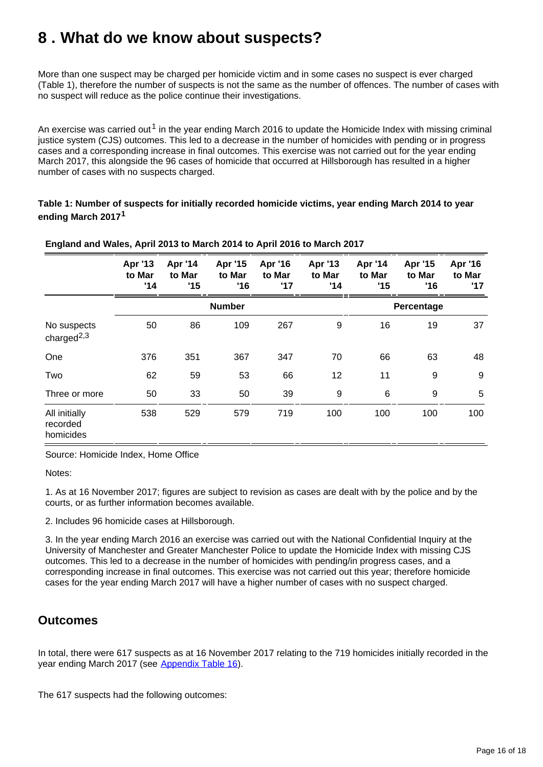## <span id="page-15-0"></span>**8 . What do we know about suspects?**

More than one suspect may be charged per homicide victim and in some cases no suspect is ever charged (Table 1), therefore the number of suspects is not the same as the number of offences. The number of cases with no suspect will reduce as the police continue their investigations.

An exercise was carried out<sup>1</sup> in the year ending March 2016 to update the Homicide Index with missing criminal justice system (CJS) outcomes. This led to a decrease in the number of homicides with pending or in progress cases and a corresponding increase in final outcomes. This exercise was not carried out for the year ending March 2017, this alongside the 96 cases of homicide that occurred at Hillsborough has resulted in a higher number of cases with no suspects charged.

**Table 1: Number of suspects for initially recorded homicide victims, year ending March 2014 to year ending March 2017<sup>1</sup>**

|                                        | Apr '13<br>to Mar<br>'14 | Apr '14<br>to Mar<br>'15 | Apr '15<br>to Mar<br>'16 | Apr '16<br>to Mar<br>'17 | Apr '13<br>to Mar<br>'14 | Apr '14<br>to Mar<br>'15 | Apr '15<br>to Mar<br>'16 | Apr '16<br>to Mar<br>'17 |
|----------------------------------------|--------------------------|--------------------------|--------------------------|--------------------------|--------------------------|--------------------------|--------------------------|--------------------------|
|                                        | <b>Number</b>            |                          |                          |                          |                          | Percentage               |                          |                          |
| No suspects<br>charged $^{2,3}$        | 50                       | 86                       | 109                      | 267                      | 9                        | 16                       | 19                       | 37                       |
| One                                    | 376                      | 351                      | 367                      | 347                      | 70                       | 66                       | 63                       | 48                       |
| Two                                    | 62                       | 59                       | 53                       | 66                       | 12                       | 11                       | 9                        | 9                        |
| Three or more                          | 50                       | 33                       | 50                       | 39                       | 9                        | $\,6$                    | 9                        | 5                        |
| All initially<br>recorded<br>homicides | 538                      | 529                      | 579                      | 719                      | 100                      | 100                      | 100                      | 100                      |

### **England and Wales, April 2013 to March 2014 to April 2016 to March 2017**

Source: Homicide Index, Home Office

Notes:

1. As at 16 November 2017; figures are subject to revision as cases are dealt with by the police and by the courts, or as further information becomes available.

2. Includes 96 homicide cases at Hillsborough.

3. In the year ending March 2016 an exercise was carried out with the National Confidential Inquiry at the University of Manchester and Greater Manchester Police to update the Homicide Index with missing CJS outcomes. This led to a decrease in the number of homicides with pending/in progress cases, and a corresponding increase in final outcomes. This exercise was not carried out this year; therefore homicide cases for the year ending March 2017 will have a higher number of cases with no suspect charged.

## **Outcomes**

In total, there were 617 suspects as at 16 November 2017 relating to the 719 homicides initially recorded in the year ending March 2017 (see [Appendix Table 16\)](https://www.ons.gov.uk/peoplepopulationandcommunity/crimeandjustice/datasets/appendixtableshomicideinenglandandwales).

The 617 suspects had the following outcomes: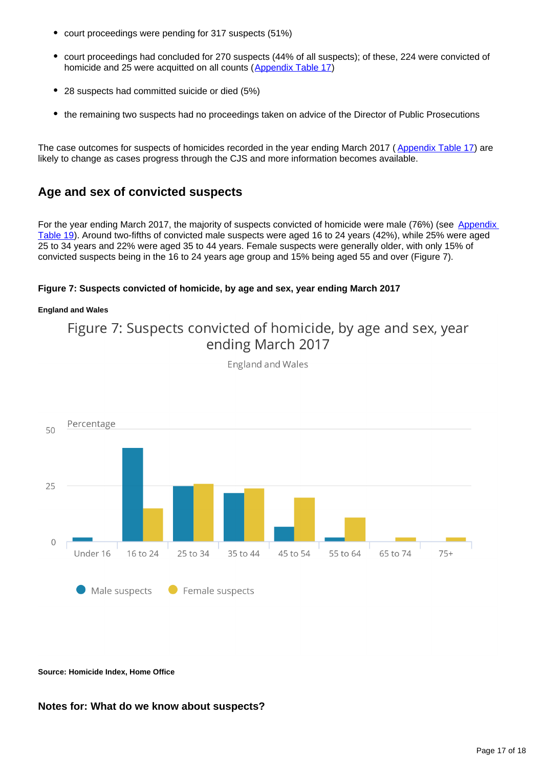- court proceedings were pending for 317 suspects (51%)
- court proceedings had concluded for 270 suspects (44% of all suspects); of these, 224 were convicted of homicide and 25 were acquitted on all counts ([Appendix Table 17\)](https://www.ons.gov.uk/peoplepopulationandcommunity/crimeandjustice/datasets/appendixtableshomicideinenglandandwales)
- 28 suspects had committed suicide or died (5%)
- the remaining two suspects had no proceedings taken on advice of the Director of Public Prosecutions

The case outcomes for suspects of homicides recorded in the year ending March 2017 ([Appendix Table 17](https://www.ons.gov.uk/peoplepopulationandcommunity/crimeandjustice/datasets/appendixtableshomicideinenglandandwales)) are likely to change as cases progress through the CJS and more information becomes available.

## **Age and sex of convicted suspects**

For the year ending March 2017, the majority of suspects convicted of homicide were male (76%) (see Appendix [Table 19](https://www.ons.gov.uk/peoplepopulationandcommunity/crimeandjustice/datasets/appendixtableshomicideinenglandandwales)). Around two-fifths of convicted male suspects were aged 16 to 24 years (42%), while 25% were aged 25 to 34 years and 22% were aged 35 to 44 years. Female suspects were generally older, with only 15% of convicted suspects being in the 16 to 24 years age group and 15% being aged 55 and over (Figure 7).

### **Figure 7: Suspects convicted of homicide, by age and sex, year ending March 2017**

#### **England and Wales**

Figure 7: Suspects convicted of homicide, by age and sex, year ending March 2017



**England and Wales** 

**Source: Homicide Index, Home Office**

### **Notes for: What do we know about suspects?**